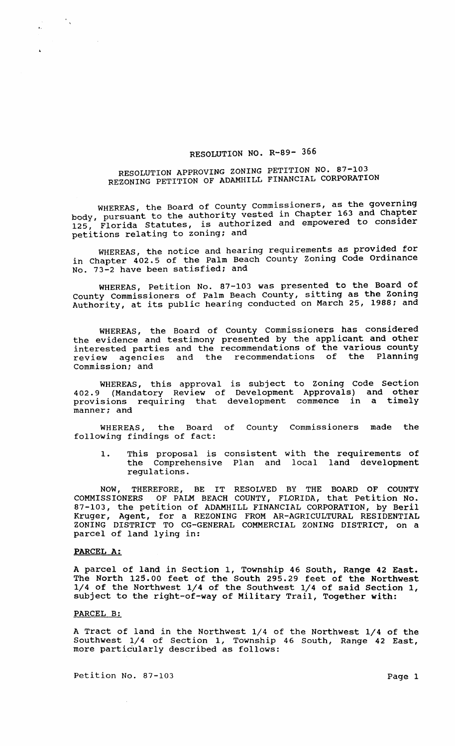## RESOLUTION NO. R-89- 366

## RESOLUTION APPROVING ZONING PETITION NO. 87-103 REZONING PETITION OF ADAMHILL FINANCIAL CORPORATION

WHEREAS, the Board of County commissioners, as the governing body, pursuant to the authority vested in Chapter 163 and Chapter 125, Florida Statutes, is authorized and empowered to consider petitions relating to zoning; and

WHEREAS, the notice and hearing requirements as provided for in Chapter 402.5 of the Palm Beach County zoning Code Ordinance No. 73-2 have been satisfied; and

WHEnEAS, Petition No. 87-103 was presented to the Board of County Commissioners of Palm Beach County, sitting as the Zoning Authority, at its public hearing conducted on March 25, 1988; and

WHEREAS, the Board of County Commissioners has considered the evidence and testimony presented by the applicant and other interested parties and the recommendations of the various county review agencies and the recommendations of the Planning commission; and

WHEREAS, this approval is subject to Zoning Code Section 402.9 (Mandatory Review of Development Approvals) and other provisions requiring that development commence in a timely manner; and

WHEREAS, the Board of County Commissioners made the following findings of fact:

1. This proposal is consistent with the requirements of the Comprehensive Plan and local land development regulations.

NOW, THEREFORE, BE IT RESOLVED BY THE BOARD OF COUNTY COMMISSIONERS OF PALM BEACH COUNTY, FLORIDA, that Petition No. 87-103, the petition of ADAMHILL FINANCIAL CORPORATION, by Beril Kruger, Agent, for a REZONING FROM AR-AGRICULTURAL RESIDENTIAL ZONING DISTRICT TO CG-GENERAL COMMERCIAL ZONING DISTRICT, on a parcel of land lying in:

## PARCEL A:

 $\mathcal{F}_{\mathcal{A}}$ 

A parcel of land in section 1, Township 46 South, Range 42 East. The North 125.00 feet of the South 295.29 feet of the Northwest 1/4 of the Northwest 1/4 of the Southwest 1/4 of said section 1, subject to the right-of-way of Military Trail, Together with: PARCEL A:<br>A parcel of land in Section 1, Township 46 South, Range 42 East.<br>The North 125.00 feet of the South 295.29 feet of the Northwest<br>1/4 of the Northwest 1/4 of the Southwest 1/4 of said Section 1,<br>subject to the rig

## PARCEL B:

A Tract of land in the Northwest 1/4 of the Northwest 1/4 of the more particularly described as follows:

Petition No. 87-103 Page 1